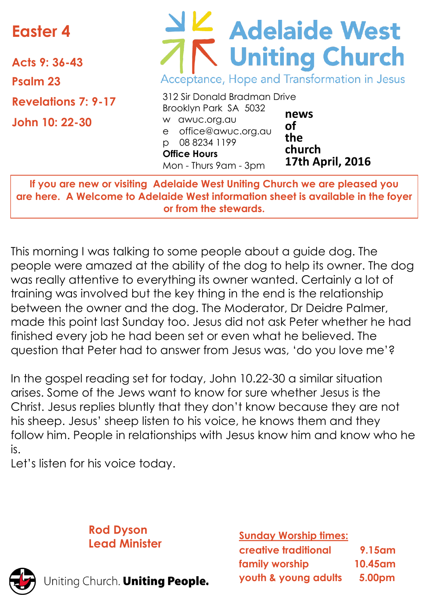# **Easter 4**

**Acts 9: 36-43 Psalm 23 Revelations 7: 9-17 John 10: 22-30**

# Adelaide West Acceptance, Hope and Transformation in Jesus

|                       | 312 Sir Donald Bradman Drive |                         |
|-----------------------|------------------------------|-------------------------|
|                       | Brooklyn Park SA 5032        |                         |
|                       | w awuc.org.au                | news<br>οf              |
|                       | e office@awuc.org.au         |                         |
| $\circ$               | 08 8234 1199                 | the                     |
|                       | <b>Office Hours</b>          | church                  |
| Mon - Thurs 9am - 3pm |                              | <b>17th April, 2016</b> |

**If you are new or visiting Adelaide West Uniting Church we are pleased you are here. A Welcome to Adelaide West information sheet is available in the foyer or from the stewards.**

This morning I was talking to some people about a guide dog. The people were amazed at the ability of the dog to help its owner. The dog was really attentive to everything its owner wanted. Certainly a lot of training was involved but the key thing in the end is the relationship between the owner and the dog. The Moderator, Dr Deidre Palmer, made this point last Sunday too. Jesus did not ask Peter whether he had finished every job he had been set or even what he believed. The question that Peter had to answer from Jesus was, 'do you love me'?

In the gospel reading set for today, John 10.22-30 a similar situation arises. Some of the Jews want to know for sure whether Jesus is the Christ. Jesus replies bluntly that they don't know because they are not his sheep. Jesus' sheep listen to his voice, he knows them and they follow him. People in relationships with Jesus know him and know who he is.

Let's listen for his voice today.

#### **Rod Dyson Lead Minister**

Jniting Church. Uniting People.

**Sunday Worship times: creative traditional 9.15am family worship 10.45am youth & young adults 5.00pm**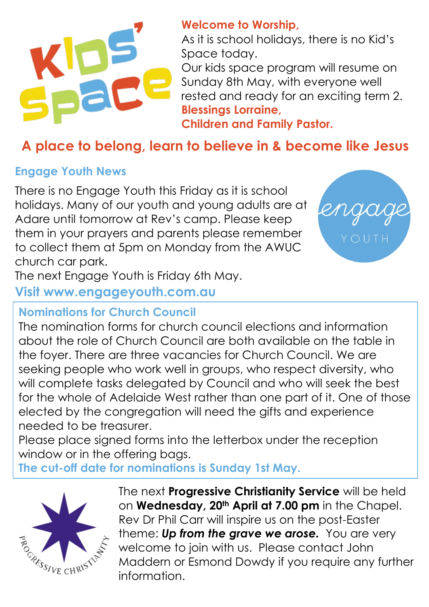

#### **Welcome to Worship,**

As it is school holidays, there is no Kid's Space today.

Our kids space program will resume on Sunday 8th May, with everyone well rested and ready for an exciting term 2. **Blessings Lorraine, Children and Family Pastor.**

### **A place to belong, learn to believe in & become like Jesus**

#### **Engage Youth News**

There is no Engage Youth this Friday as it is school holidays. Many of our youth and young adults are at Adare until tomorrow at Rev's camp. Please keep them in your prayers and parents please remember to collect them at 5pm on Monday from the AWUC church car park.



The next Engage Youth is Friday 6th May.

#### **Visit www.engageyouth.com.au**

#### **Nominations for Church Council**

The nomination forms for church council elections and information about the role of Church Council are both available on the table in the foyer. There are three vacancies for Church Council. We are seeking people who work well in groups, who respect diversity, who will complete tasks delegated by Council and who will seek the best for the whole of Adelaide West rather than one part of it. One of those elected by the congregation will need the gifts and experience needed to be treasurer.

Please place signed forms into the letterbox under the reception window or in the offering bags.

**The cut-off date for nominations is Sunday 1st May.**



The next **Progressive Christianity Service** will be held on **Wednesday, 20th April at 7.00 pm** in the Chapel. Rev Dr Phil Carr will inspire us on the post-Easter theme: *Up from the grave we arose.* You are very welcome to join with us. Please contact John Maddern or Esmond Dowdy if you require any further information.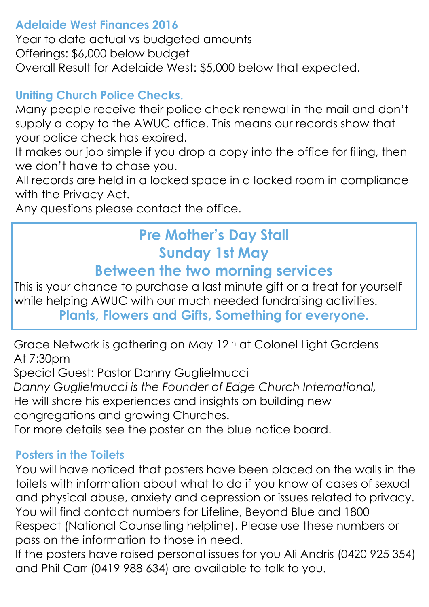#### **Adelaide West Finances 2016**

Year to date actual vs budgeted amounts Offerings: \$6,000 below budget Overall Result for Adelaide West: \$5,000 below that expected.

#### **Uniting Church Police Checks.**

Many people receive their police check renewal in the mail and don't supply a copy to the AWUC office. This means our records show that your police check has expired.

It makes our job simple if you drop a copy into the office for filing, then we don't have to chase you.

All records are held in a locked space in a locked room in compliance with the Privacy Act.

Any questions please contact the office.

# **Pre Mother's Day Stall Sunday 1st May**

#### **Between the two morning services**

This is your chance to purchase a last minute gift or a treat for yourself while helping AWUC with our much needed fundraising activities. **Plants, Flowers and Gifts, Something for everyone.**

Grace Network is gathering on May 12<sup>th</sup> at Colonel Light Gardens At 7:30pm

Special Guest: Pastor Danny Guglielmucci *Danny Guglielmucci is the Founder of Edge Church International,*  He will share his experiences and insights on building new congregations and growing Churches. For more details see the poster on the blue notice board.

#### **Posters in the Toilets**

You will have noticed that posters have been placed on the walls in the toilets with information about what to do if you know of cases of sexual and physical abuse, anxiety and depression or issues related to privacy. You will find contact numbers for Lifeline, Beyond Blue and 1800 Respect (National Counselling helpline). Please use these numbers or pass on the information to those in need.

If the posters have raised personal issues for you Ali Andris (0420 925 354) and Phil Carr (0419 988 634) are available to talk to you.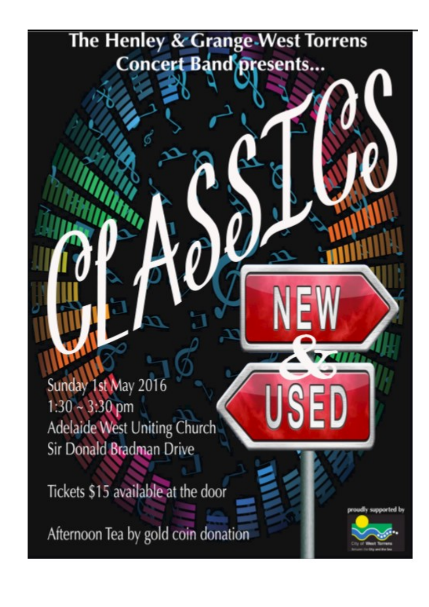# The Henley & Grange-West Torrens **Concert Band presents...**

Sunday 1st May 2016  $1:30 - 3:30$  pm Adelaide West Uniting Church Sir Donald Bradman Drive

Tickets \$15 available at the door

Afternoon Tea by gold coin donation



SEI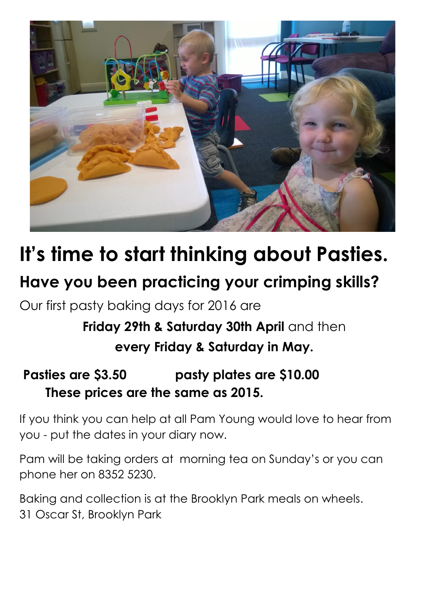

# **It's time to start thinking about Pasties.**

# **Have you been practicing your crimping skills?**

Our first pasty baking days for 2016 are

# **Friday 29th & Saturday 30th April and then every Friday & Saturday in May.**

#### **Pasties are \$3.50 pasty plates are \$10.00 These prices are the same as 2015.**

If you think you can help at all Pam Young would love to hear from you - put the dates in your diary now.

Pam will be taking orders at morning tea on Sunday's or you can phone her on 8352 5230.

Baking and collection is at the Brooklyn Park meals on wheels. 31 Oscar St, Brooklyn Park